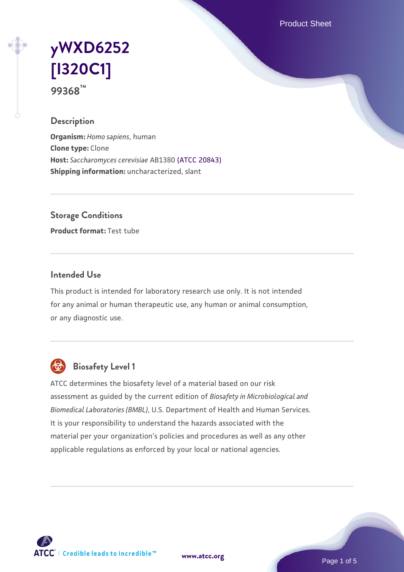Product Sheet

# **[yWXD6252](https://www.atcc.org/products/99368) [\[I320C1\]](https://www.atcc.org/products/99368) 99368™**

### **Description**

**Organism:** *Homo sapiens*, human **Clone type:** Clone **Host:** *Saccharomyces cerevisiae* AB1380 [\(ATCC 20843\)](https://www.atcc.org/products/20843) **Shipping information:** uncharacterized, slant

**Storage Conditions**

**Product format:** Test tube

### **Intended Use**

This product is intended for laboratory research use only. It is not intended for any animal or human therapeutic use, any human or animal consumption, or any diagnostic use.



## **Biosafety Level 1**

ATCC determines the biosafety level of a material based on our risk assessment as guided by the current edition of *Biosafety in Microbiological and Biomedical Laboratories (BMBL)*, U.S. Department of Health and Human Services. It is your responsibility to understand the hazards associated with the material per your organization's policies and procedures as well as any other applicable regulations as enforced by your local or national agencies.

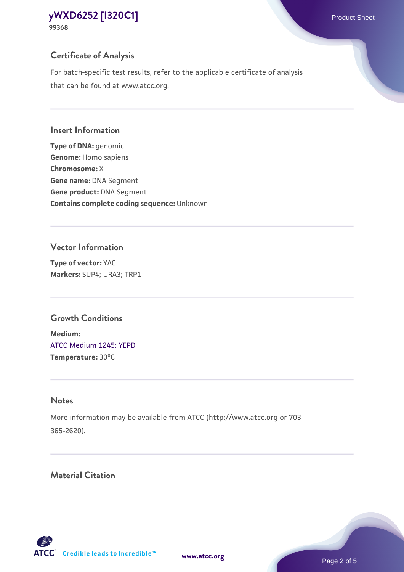## **Certificate of Analysis**

For batch-specific test results, refer to the applicable certificate of analysis that can be found at www.atcc.org.

#### **Insert Information**

**Type of DNA:** genomic **Genome:** Homo sapiens **Chromosome:** X **Gene name:** DNA Segment **Gene product:** DNA Segment **Contains complete coding sequence:** Unknown

#### **Vector Information**

**Type of vector:** YAC **Markers:** SUP4; URA3; TRP1

## **Growth Conditions**

**Medium:**  [ATCC Medium 1245: YEPD](https://www.atcc.org/-/media/product-assets/documents/microbial-media-formulations/1/2/4/5/atcc-medium-1245.pdf?rev=705ca55d1b6f490a808a965d5c072196) **Temperature:** 30°C

## **Notes**

More information may be available from ATCC (http://www.atcc.org or 703- 365-2620).

## **Material Citation**

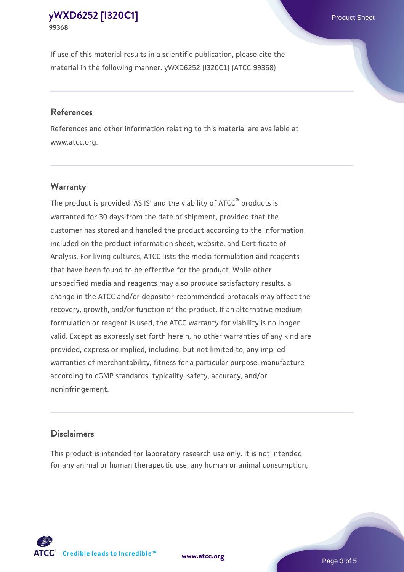If use of this material results in a scientific publication, please cite the material in the following manner: yWXD6252 [I320C1] (ATCC 99368)

#### **References**

References and other information relating to this material are available at www.atcc.org.

## **Warranty**

The product is provided 'AS IS' and the viability of  $ATCC<sup>®</sup>$  products is warranted for 30 days from the date of shipment, provided that the customer has stored and handled the product according to the information included on the product information sheet, website, and Certificate of Analysis. For living cultures, ATCC lists the media formulation and reagents that have been found to be effective for the product. While other unspecified media and reagents may also produce satisfactory results, a change in the ATCC and/or depositor-recommended protocols may affect the recovery, growth, and/or function of the product. If an alternative medium formulation or reagent is used, the ATCC warranty for viability is no longer valid. Except as expressly set forth herein, no other warranties of any kind are provided, express or implied, including, but not limited to, any implied warranties of merchantability, fitness for a particular purpose, manufacture according to cGMP standards, typicality, safety, accuracy, and/or noninfringement.

#### **Disclaimers**

This product is intended for laboratory research use only. It is not intended for any animal or human therapeutic use, any human or animal consumption,

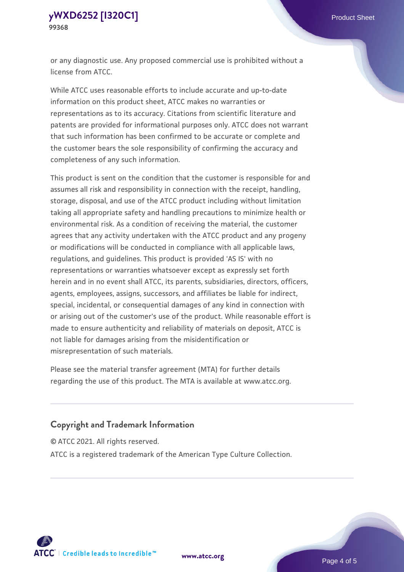or any diagnostic use. Any proposed commercial use is prohibited without a license from ATCC.

While ATCC uses reasonable efforts to include accurate and up-to-date information on this product sheet, ATCC makes no warranties or representations as to its accuracy. Citations from scientific literature and patents are provided for informational purposes only. ATCC does not warrant that such information has been confirmed to be accurate or complete and the customer bears the sole responsibility of confirming the accuracy and completeness of any such information.

This product is sent on the condition that the customer is responsible for and assumes all risk and responsibility in connection with the receipt, handling, storage, disposal, and use of the ATCC product including without limitation taking all appropriate safety and handling precautions to minimize health or environmental risk. As a condition of receiving the material, the customer agrees that any activity undertaken with the ATCC product and any progeny or modifications will be conducted in compliance with all applicable laws, regulations, and guidelines. This product is provided 'AS IS' with no representations or warranties whatsoever except as expressly set forth herein and in no event shall ATCC, its parents, subsidiaries, directors, officers, agents, employees, assigns, successors, and affiliates be liable for indirect, special, incidental, or consequential damages of any kind in connection with or arising out of the customer's use of the product. While reasonable effort is made to ensure authenticity and reliability of materials on deposit, ATCC is not liable for damages arising from the misidentification or misrepresentation of such materials.

Please see the material transfer agreement (MTA) for further details regarding the use of this product. The MTA is available at www.atcc.org.

## **Copyright and Trademark Information**

© ATCC 2021. All rights reserved.

ATCC is a registered trademark of the American Type Culture Collection.



**[www.atcc.org](http://www.atcc.org)**